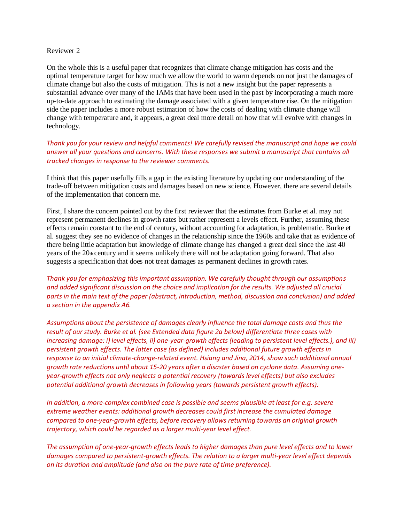## Reviewer 2

On the whole this is a useful paper that recognizes that climate change mitigation has costs and the optimal temperature target for how much we allow the world to warm depends on not just the damages of climate change but also the costs of mitigation. This is not a new insight but the paper represents a substantial advance over many of the IAMs that have been used in the past by incorporating a much more up-to-date approach to estimating the damage associated with a given temperature rise. On the mitigation side the paper includes a more robust estimation of how the costs of dealing with climate change will change with temperature and, it appears, a great deal more detail on how that will evolve with changes in technology.

*Thank you for your review and helpful comments! We carefully revised the manuscript and hope we could answer all your questions and concerns. With these responses we submit a manuscript that contains all tracked changes in response to the reviewer comments.*

I think that this paper usefully fills a gap in the existing literature by updating our understanding of the trade-off between mitigation costs and damages based on new science. However, there are several details of the implementation that concern me.

First, I share the concern pointed out by the first reviewer that the estimates from Burke et al. may not represent permanent declines in growth rates but rather represent a levels effect. Further, assuming these effects remain constant to the end of century, without accounting for adaptation, is problematic. Burke et al. suggest they see no evidence of changes in the relationship since the 1960s and take that as evidence of there being little adaptation but knowledge of climate change has changed a great deal since the last 40 years of the 20th century and it seems unlikely there will not be adaptation going forward. That also suggests a specification that does not treat damages as permanent declines in growth rates.

*Thank you for emphasizing this important assumption. We carefully thought through our assumptions*  and added significant discussion on the choice and implication for the results. We adjusted all crucial *parts in the main text of the paper (abstract, introduction, method, discussion and conclusion) and added a section in the appendix A6.*

*Assumptions about the persistence of damages clearly influence the total damage costs and thus the result of our study. Burke et al. (see Extended data figure 2a below) differentiate three cases with increasing damage: i) level effects, ii) one-year-growth effects (leading to persistent level effects.), and iii) persistent growth effects. The latter case (as defined) includes additional future growth effects in response to an initial climate-change-related event. Hsiang and Jina, 2014, show such additional annual growth rate reductions until about 15-20 years after a disaster based on cyclone data. Assuming oneyear-growth effects not only neglects a potential recovery (towards level effects) but also excludes potential additional growth decreases in following years (towards persistent growth effects).*

*In addition, a more-complex combined case is possible and seems plausible at least for e.g. severe extreme weather events: additional growth decreases could first increase the cumulated damage compared to one-year-growth effects, before recovery allows returning towards an original growth trajectory, which could be regarded as a larger multi-year level effect.*

*The assumption of one-year-growth effects leads to higher damages than pure level effects and to lower damages compared to persistent-growth effects. The relation to a larger multi-year level effect depends on its duration and amplitude (and also on the pure rate of time preference).*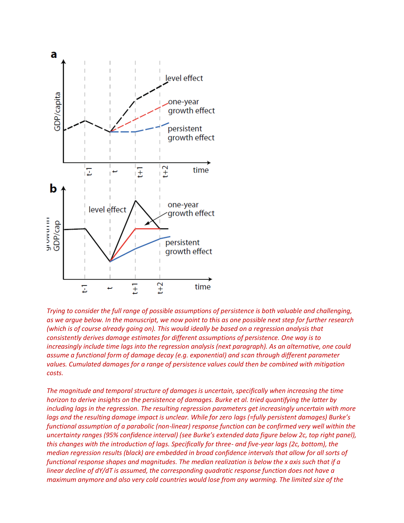

*Trying to consider the full range of possible assumptions of persistence is both valuable and challenging, as we argue below. In the manuscript, we now point to this as one possible next step for further research (which is of course already going on). This would ideally be based on a regression analysis that consistently derives damage estimates for different assumptions of persistence. One way is to increasingly include time lags into the regression analysis (next paragraph). As an alternative, one could assume a functional form of damage decay (e.g. exponential) and scan through different parameter values. Cumulated damages for a range of persistence values could then be combined with mitigation costs.*

*The magnitude and temporal structure of damages is uncertain, specifically when increasing the time horizon to derive insights on the persistence of damages. Burke et al. tried quantifying the latter by including lags in the regression. The resulting regression parameters get increasingly uncertain with more lags and the resulting damage impact is unclear. While for zero lags (=fully persistent damages) Burke's functional assumption of a parabolic (non-linear) response function can be confirmed very well within the uncertainty ranges (95% confidence interval) (see Burke's extended data figure below 2c, top right panel), this changes with the introduction of lags. Specifically for three- and five-year lags (2c, bottom), the median regression results (black) are embedded in broad confidence intervals that allow for all sorts of functional response shapes and magnitudes. The median realization is below the x axis such that if a linear decline of dY/dT is assumed, the corresponding quadratic response function does not have a maximum anymore and also very cold countries would lose from any warming. The limited size of the*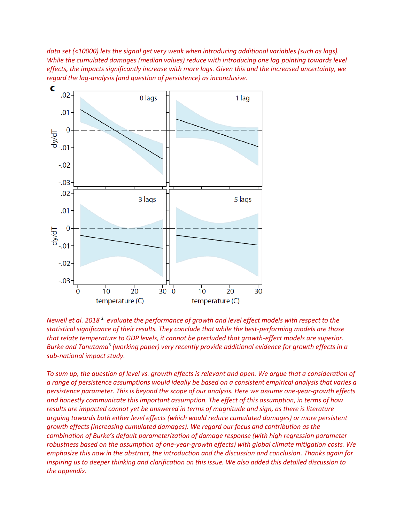*data set (<10000) lets the signal get very weak when introducing additional variables (such as lags). While the cumulated damages (median values) reduce with introducing one lag pointing towards level effects, the impacts significantly increase with more lags. Given this and the increased uncertainty, we regard the lag-analysis (and question of persistence) as inconclusive.*



Newell et al. 2018<sup>2</sup> evaluate the performance of growth and level effect models with respect to the *statistical significance of their results. They conclude that while the best-performing models are those that relate temperature to GDP levels, it cannot be precluded that growth-effect models are superior.*  Burke and Tanutama<sup>3</sup> (working paper) very recently provide additional evidence for growth effects in a *sub-national impact study.*

*To sum up, the question of level vs. growth effects is relevant and open. We argue that a consideration of a range of persistence assumptions would ideally be based on a consistent empirical analysis that varies a persistence parameter. This is beyond the scope of our analysis. Here we assume one-year-growth effects and honestly communicate this important assumption. The effect of this assumption, in terms of how results are impacted cannot yet be answered in terms of magnitude and sign, as there is literature arguing towards both either level effects (which would reduce cumulated damages) or more persistent growth effects (increasing cumulated damages). We regard our focus and contribution as the combination of Burke's default parameterization of damage response (with high regression parameter robustness based on the assumption of one-year-growth effects) with global climate mitigation costs. We emphasize this now in the abstract, the introduction and the discussion and conclusion. Thanks again for inspiring us to deeper thinking and clarification on this issue. We also added this detailed discussion to the appendix.*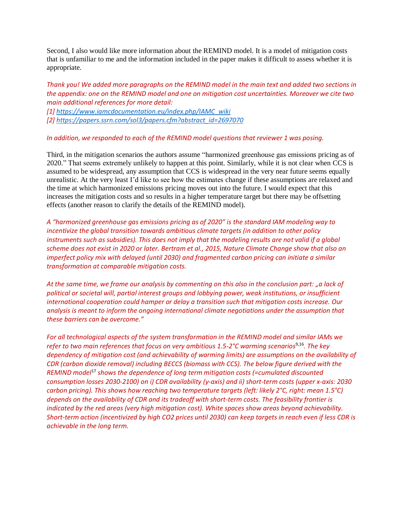Second, I also would like more information about the REMIND model. It is a model of mitigation costs that is unfamiliar to me and the information included in the paper makes it difficult to assess whether it is appropriate.

*Thank you! We added more paragraphs on the REMIND model in the main text and added two sections in the appendix: one on the REMIND model and one on mitigation cost uncertainties. Moreover we cite two main additional references for more detail:*

*[1[\] https://www.iamcdocumentation.eu/index.php/IAMC\\_wiki](https://www.iamcdocumentation.eu/index.php/IAMC_wiki) [2[\] https://papers.ssrn.com/sol3/papers.cfm?abstract\\_id=2697070](https://papers.ssrn.com/sol3/papers.cfm?abstract_id=2697070)*

*In addition, we responded to each of the REMIND model questions that reviewer 1 was posing.*

Third, in the mitigation scenarios the authors assume "harmonized greenhouse gas emissions pricing as of 2020." That seems extremely unlikely to happen at this point. Similarly, while it is not clear when CCS is assumed to be widespread, any assumption that CCS is widespread in the very near future seems equally unrealistic. At the very least I'd like to see how the estimates change if these assumptions are relaxed and the time at which harmonized emissions pricing moves out into the future. I would expect that this increases the mitigation costs and so results in a higher temperature target but there may be offsetting effects (another reason to clarify the details of the REMIND model).

*A "harmonized greenhouse gas emissions pricing as of 2020" is the standard IAM modeling way to incentivize the global transition towards ambitious climate targets (in addition to other policy instruments such as subsidies). This does not imply that the modeling results are not valid if a global scheme does not exist in 2020 or later. Bertram et al., 2015, Nature Climate Change show that also an imperfect policy mix with delayed (until 2030) and fragmented carbon pricing can initiate a similar transformation at comparable mitigation costs.*

*At the same time, we frame our analysis by commenting on this also in the conclusion part: "a lack of political or societal will, partial interest groups and lobbying power, weak institutions, or insufficient international cooperation could hamper or delay a transition such that mitigation costs increase. Our analysis is meant to inform the ongoing international climate negotiations under the assumption that these barriers can be overcome."*

*For all technological aspects of the system transformation in the REMIND model and similar IAMs we refer to two main references that focus on very ambitious 1.5-2°C warming scenarios*9,16 *. The key dependency of mitigation cost (and achievability of warming limits) are assumptions on the availability of CDR (carbon dioxide removal) including BECCS (biomass with CCS). The below figure derived with the REMIND model*<sup>17</sup> *shows the dependence of long term mitigation costs (=cumulated discounted consumption losses 2030-2100) on i) CDR availability (y-axis) and ii) short-term costs (upper x-axis: 2030 carbon pricing). This shows how reaching two temperature targets (left: likely 2°C, right: mean 1.5°C) depends on the availability of CDR and its tradeoff with short-term costs. The feasibility frontier is indicated by the red areas (very high mitigation cost). White spaces show areas beyond achievability. Short-term action (incentivized by high CO2 prices until 2030) can keep targets in reach even if less CDR is achievable in the long term.*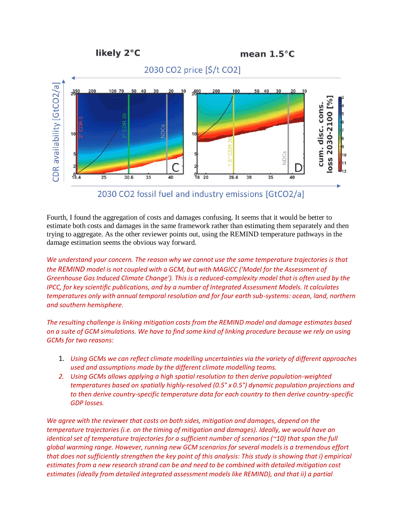





Fourth, I found the aggregation of costs and damages confusing. It seems that it would be better to estimate both costs and damages in the same framework rather than estimating them separately and then trying to aggregate. As the other reviewer points out, using the REMIND temperature pathways in the damage estimation seems the obvious way forward.

*We understand your concern. The reason why we cannot use the same temperature trajectories is that the REMIND model is not coupled with a GCM, but with MAGICC ('Model for the Assessment of Greenhouse Gas Induced Climate Change'). This is a reduced-complexity model that is often used by the IPCC, for key scientific publications, and by a number of Integrated Assessment Models. It calculates temperatures only with annual temporal resolution and for four earth sub-systems: ocean, land, northern and southern hemisphere.*

*The resulting challenge is linking mitigation costs from the REMIND model and damage estimates based on a suite of GCM simulations. We have to find some kind of linking procedure because we rely on using GCMs for two reasons:*

- 1. *Using GCMs we can reflect climate modelling uncertainties via the variety of different approaches used and assumptions made by the different climate modelling teams.*
- *2. Using GCMs allows applying a high spatial resolution to then derive population-weighted temperatures based on spatially highly-resolved (0.5° x 0.5°) dynamic population projections and to then derive country-specific temperature data for each country to then derive country-specific GDP losses.*

*We agree with the reviewer that costs on both sides, mitigation and damages, depend on the temperature trajectories (i.e. on the timing of mitigation and damages). Ideally, we would have an identical set of temperature trajectories for a sufficient number of scenarios (~10) that span the full global warming range. However, running new GCM scenarios for several models is a tremendous effort that does not sufficiently strengthen the key point of this analysis: This study is showing that i) empirical estimates from a new research strand can be and need to be combined with detailed mitigation cost*  estimates (ideally from detailed integrated assessment models like REMIND), and that ii) a partial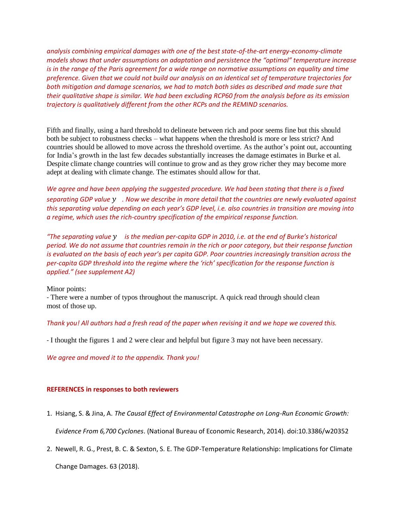*analysis combining empirical damages with one of the best state-of-the-art energy-economy-climate models shows that under assumptions on adaptation and persistence the "optimal" temperature increase is in the range of the Paris agreement for a wide range on normative assumptions on equality and time preference. Given that we could not build our analysis on an identical set of temperature trajectories for both mitigation and damage scenarios, we had to match both sides as described and made sure that their qualitative shape is similar. We had been excluding RCP60 from the analysis before as its emission trajectory is qualitatively different from the other RCPs and the REMIND scenarios.*

Fifth and finally, using a hard threshold to delineate between rich and poor seems fine but this should both be subject to robustness checks – what happens when the threshold is more or less strict? And countries should be allowed to move across the threshold overtime. As the author's point out, accounting for India's growth in the last few decades substantially increases the damage estimates in Burke et al. Despite climate change countries will continue to grow and as they grow richer they may become more adept at dealing with climate change. The estimates should allow for that.

*We agree and have been applying the suggested procedure. We had been stating that there is a fixed separating GDP value . Now we describe in more detail that the countries are newly evaluated against this separating value depending on each year's GDP level, i.e. also countries in transition are moving into a regime, which uses the rich-country specification of the empirical response function.*

*"The separating value is the median per-capita GDP in 2010, i.e. at the end of Burke's historical period. We do not assume that countries remain in the rich or poor category, but their response function is evaluated on the basis of each year's per capita GDP. Poor countries increasingly transition across the per-capita GDP threshold into the regime where the 'rich' specification for the response function is applied." (see supplement A2)*

Minor points:

- There were a number of typos throughout the manuscript. A quick read through should clean most of those up.

## *Thank you! All authors had a fresh read of the paper when revising it and we hope we covered this.*

- I thought the figures 1 and 2 were clear and helpful but figure 3 may not have been necessary.

*We agree and moved it to the appendix. Thank you!*

## **REFERENCES in responses to both reviewers**

- 1. Hsiang, S. & Jina, A. *The Causal Effect of Environmental Catastrophe on Long-Run Economic Growth: Evidence From 6,700 Cyclones*. (National Bureau of Economic Research, 2014). doi:10.3386/w20352
- 2. Newell, R. G., Prest, B. C. & Sexton, S. E. The GDP-Temperature Relationship: Implications for Climate Change Damages. 63 (2018).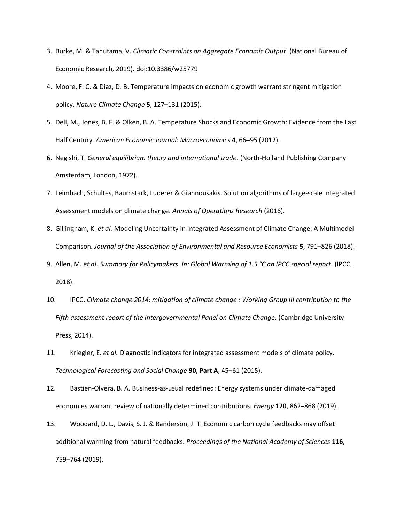- 3. Burke, M. & Tanutama, V. *Climatic Constraints on Aggregate Economic Output*. (National Bureau of Economic Research, 2019). doi:10.3386/w25779
- 4. Moore, F. C. & Diaz, D. B. Temperature impacts on economic growth warrant stringent mitigation policy. *Nature Climate Change* **5**, 127–131 (2015).
- 5. Dell, M., Jones, B. F. & Olken, B. A. Temperature Shocks and Economic Growth: Evidence from the Last Half Century. *American Economic Journal: Macroeconomics* **4**, 66–95 (2012).
- 6. Negishi, T. *General equilibrium theory and international trade*. (North-Holland Publishing Company Amsterdam, London, 1972).
- 7. Leimbach, Schultes, Baumstark, Luderer & Giannousakis. Solution algorithms of large‐scale Integrated Assessment models on climate change. *Annals of Operations Research* (2016).
- 8. Gillingham, K. *et al.* Modeling Uncertainty in Integrated Assessment of Climate Change: A Multimodel Comparison. *Journal of the Association of Environmental and Resource Economists* **5**, 791–826 (2018).
- 9. Allen, M. *et al. Summary for Policymakers. In: Global Warming of 1.5 °C an IPCC special report*. (IPCC, 2018).
- 10. IPCC. *Climate change 2014: mitigation of climate change : Working Group III contribution to the Fifth assessment report of the Intergovernmental Panel on Climate Change*. (Cambridge University Press, 2014).
- 11. Kriegler, E. *et al.* Diagnostic indicators for integrated assessment models of climate policy. *Technological Forecasting and Social Change* **90, Part A**, 45–61 (2015).
- 12. Bastien-Olvera, B. A. Business-as-usual redefined: Energy systems under climate-damaged economies warrant review of nationally determined contributions. *Energy* **170**, 862–868 (2019).
- 13. Woodard, D. L., Davis, S. J. & Randerson, J. T. Economic carbon cycle feedbacks may offset additional warming from natural feedbacks. *Proceedings of the National Academy of Sciences* **116**, 759–764 (2019).